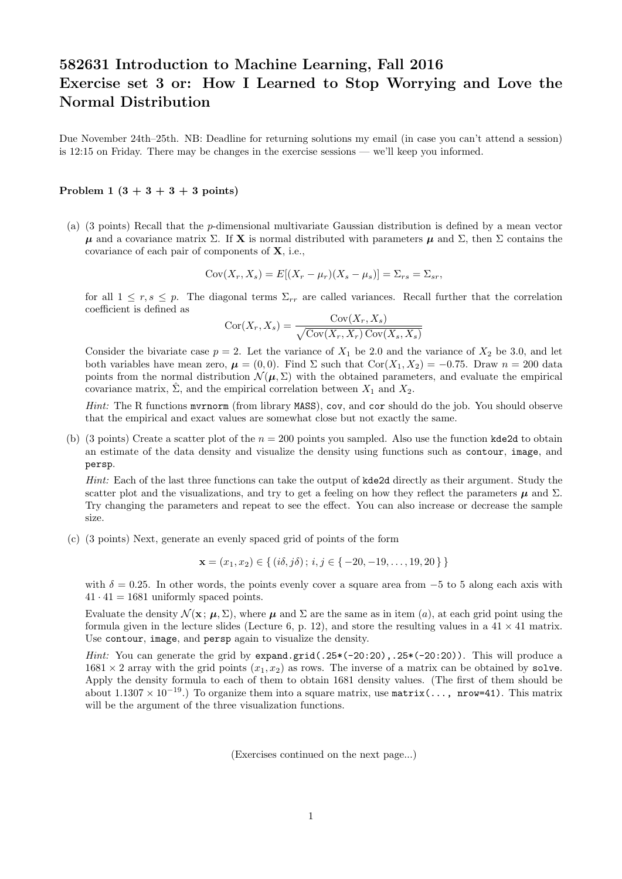## 582631 Introduction to Machine Learning, Fall 2016 Exercise set 3 or: How I Learned to Stop Worrying and Love the Normal Distribution

Due November 24th–25th. NB: Deadline for returning solutions my email (in case you can't attend a session) is 12:15 on Friday. There may be changes in the exercise sessions — we'll keep you informed.

## Problem 1  $(3 + 3 + 3 + 3)$  points)

(a) (3 points) Recall that the p-dimensional multivariate Gaussian distribution is defined by a mean vector  $\mu$  and a covariance matrix  $\Sigma$ . If **X** is normal distributed with parameters  $\mu$  and  $\Sigma$ , then  $\Sigma$  contains the covariance of each pair of components of X, i.e.,

$$
Cov(X_r, X_s) = E[(X_r - \mu_r)(X_s - \mu_s)] = \Sigma_{rs} = \Sigma_{sr},
$$

for all  $1 \leq r, s \leq p$ . The diagonal terms  $\Sigma_{rr}$  are called variances. Recall further that the correlation coefficient is defined as

$$
Cor(X_r, X_s) = \frac{Cov(X_r, X_s)}{\sqrt{Cov(X_r, X_r) Cov(X_s, X_s)}}
$$

Consider the bivariate case  $p = 2$ . Let the variance of  $X_1$  be 2.0 and the variance of  $X_2$  be 3.0, and let both variables have mean zero,  $\mu = (0, 0)$ . Find  $\Sigma$  such that Cor $(X_1, X_2) = -0.75$ . Draw  $n = 200$  data points from the normal distribution  $\mathcal{N}(\mu, \Sigma)$  with the obtained parameters, and evaluate the empirical covariance matrix,  $\Sigma$ , and the empirical correlation between  $X_1$  and  $X_2$ .

Hint: The R functions murnorm (from library MASS), cov, and cor should do the job. You should observe that the empirical and exact values are somewhat close but not exactly the same.

(b) (3 points) Create a scatter plot of the  $n = 200$  points you sampled. Also use the function kde2d to obtain an estimate of the data density and visualize the density using functions such as contour, image, and persp.

Hint: Each of the last three functions can take the output of kde2d directly as their argument. Study the scatter plot and the visualizations, and try to get a feeling on how they reflect the parameters  $\mu$  and  $\Sigma$ . Try changing the parameters and repeat to see the effect. You can also increase or decrease the sample size.

(c) (3 points) Next, generate an evenly spaced grid of points of the form

$$
\mathbf{x} = (x_1, x_2) \in \{ (i\delta, j\delta) \, ; \, i, j \in \{ -20, -19, \dots, 19, 20 \} \}
$$

with  $\delta = 0.25$ . In other words, the points evenly cover a square area from  $-5$  to 5 along each axis with  $41 \cdot 41 = 1681$  uniformly spaced points.

Evaluate the density  $\mathcal{N}(\mathbf{x}; \mu, \Sigma)$ , where  $\mu$  and  $\Sigma$  are the same as in item (a), at each grid point using the formula given in the lecture slides (Lecture 6, p. 12), and store the resulting values in a  $41 \times 41$  matrix. Use contour, image, and persp again to visualize the density.

*Hint:* You can generate the grid by expand.grid(.25 $*(-20:20)$ ,.25 $*(-20:20)$ ). This will produce a  $1681 \times 2$  array with the grid points  $(x_1, x_2)$  as rows. The inverse of a matrix can be obtained by solve. Apply the density formula to each of them to obtain 1681 density values. (The first of them should be about 1.1307 × 10<sup>-19</sup>.) To organize them into a square matrix, use matrix(..., nrow=41). This matrix will be the argument of the three visualization functions.

(Exercises continued on the next page...)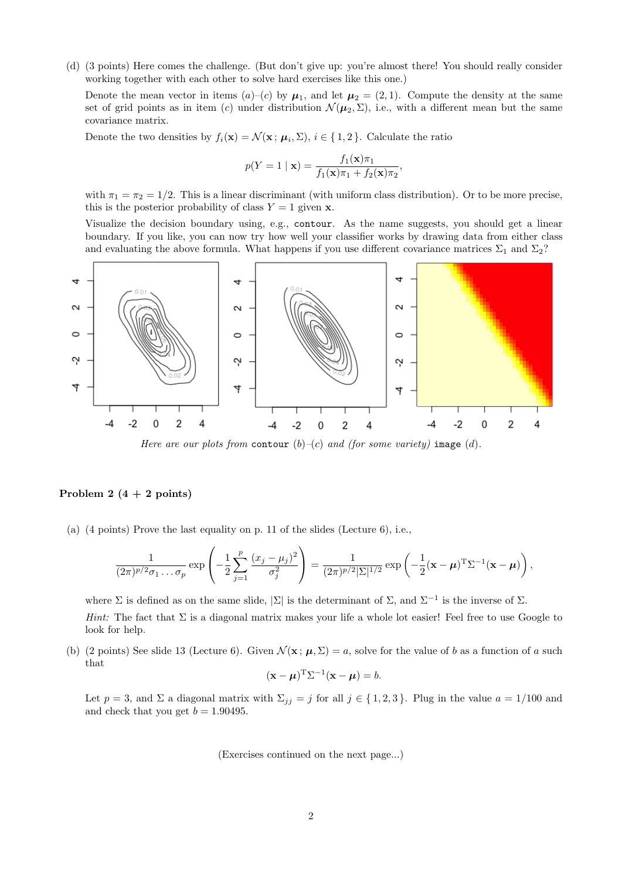(d) (3 points) Here comes the challenge. (But don't give up: you're almost there! You should really consider working together with each other to solve hard exercises like this one.)

Denote the mean vector in items  $(a)-(c)$  by  $\mu_1$ , and let  $\mu_2=(2,1)$ . Compute the density at the same set of grid points as in item (c) under distribution  $\mathcal{N}(\mu_2, \Sigma)$ , i.e., with a different mean but the same covariance matrix.

Denote the two densities by  $f_i(\mathbf{x}) = \mathcal{N}(\mathbf{x}; \mu_i, \Sigma), i \in \{1, 2\}$ . Calculate the ratio

$$
p(Y = 1 | \mathbf{x}) = \frac{f_1(\mathbf{x})\pi_1}{f_1(\mathbf{x})\pi_1 + f_2(\mathbf{x})\pi_2},
$$

with  $\pi_1 = \pi_2 = 1/2$ . This is a linear discriminant (with uniform class distribution). Or to be more precise, this is the posterior probability of class  $Y = 1$  given x.

Visualize the decision boundary using, e.g., contour. As the name suggests, you should get a linear boundary. If you like, you can now try how well your classifier works by drawing data from either class and evaluating the above formula. What happens if you use different covariance matrices  $\Sigma_1$  and  $\Sigma_2$ ?



Here are our plots from contour  $(b)-(c)$  and (for some variety) image (d).

## Problem 2  $(4 + 2$  points)

(a) (4 points) Prove the last equality on p. 11 of the slides (Lecture 6), i.e.,

$$
\frac{1}{(2\pi)^{p/2}\sigma_1\ldots\sigma_p} \exp\left(-\frac{1}{2}\sum_{j=1}^p\frac{(x_j-\mu_j)^2}{\sigma_j^2}\right) = \frac{1}{(2\pi)^{p/2}|\Sigma|^{1/2}} \exp\left(-\frac{1}{2}(\mathbf{x}-\boldsymbol{\mu})^T\Sigma^{-1}(\mathbf{x}-\boldsymbol{\mu})\right),
$$

where  $\Sigma$  is defined as on the same slide,  $\Sigma$  is the determinant of  $\Sigma$ , and  $\Sigma^{-1}$  is the inverse of  $\Sigma$ .

Hint: The fact that  $\Sigma$  is a diagonal matrix makes your life a whole lot easier! Feel free to use Google to look for help.

(b) (2 points) See slide 13 (Lecture 6). Given  $\mathcal{N}(\mathbf{x}; \mu, \Sigma) = a$ , solve for the value of b as a function of a such that

$$
(\mathbf{x} - \boldsymbol{\mu})^{\mathrm{T}} \Sigma^{-1} (\mathbf{x} - \boldsymbol{\mu}) = b.
$$

Let  $p = 3$ , and  $\Sigma$  a diagonal matrix with  $\Sigma_{jj} = j$  for all  $j \in \{1, 2, 3\}$ . Plug in the value  $a = 1/100$  and and check that you get  $b = 1.90495$ .

(Exercises continued on the next page...)